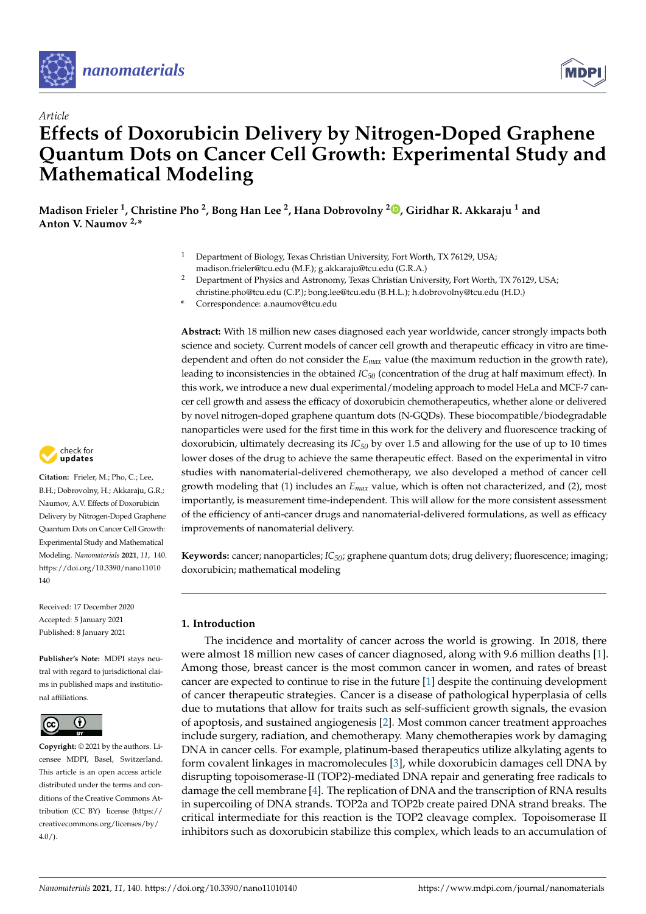



# *Article* **Effects of Doxorubicin Delivery by Nitrogen-Doped Graphene Quantum Dots on Cancer Cell Growth: Experimental Study and Mathematical Modeling**

**Madison Frieler <sup>1</sup> , Christine Pho <sup>2</sup> , Bong Han Lee <sup>2</sup> , Hana Dobrovolny <sup>2</sup> [,](https://orcid.org/0000-0003-3592-6770) Giridhar R. Akkaraju <sup>1</sup> and Anton V. Naumov 2,\***

- Department of Biology, Texas Christian University, Fort Worth, TX 76129, USA; madison.frieler@tcu.edu (M.F.); g.akkaraju@tcu.edu (G.R.A.)
- <sup>2</sup> Department of Physics and Astronomy, Texas Christian University, Fort Worth, TX 76129, USA;
- christine.pho@tcu.edu (C.P.); bong.lee@tcu.edu (B.H.L.); h.dobrovolny@tcu.edu (H.D.)
- **\*** Correspondence: a.naumov@tcu.edu

**Abstract:** With 18 million new cases diagnosed each year worldwide, cancer strongly impacts both science and society. Current models of cancer cell growth and therapeutic efficacy in vitro are timedependent and often do not consider the *Emax* value (the maximum reduction in the growth rate), leading to inconsistencies in the obtained *IC<sup>50</sup>* (concentration of the drug at half maximum effect). In this work, we introduce a new dual experimental/modeling approach to model HeLa and MCF-7 cancer cell growth and assess the efficacy of doxorubicin chemotherapeutics, whether alone or delivered by novel nitrogen-doped graphene quantum dots (N-GQDs). These biocompatible/biodegradable nanoparticles were used for the first time in this work for the delivery and fluorescence tracking of doxorubicin, ultimately decreasing its *IC<sup>50</sup>* by over 1.5 and allowing for the use of up to 10 times lower doses of the drug to achieve the same therapeutic effect. Based on the experimental in vitro studies with nanomaterial-delivered chemotherapy, we also developed a method of cancer cell growth modeling that (1) includes an *Emax* value, which is often not characterized, and (2), most importantly, is measurement time-independent. This will allow for the more consistent assessment of the efficiency of anti-cancer drugs and nanomaterial-delivered formulations, as well as efficacy improvements of nanomaterial delivery.

**Keywords:** cancer; nanoparticles; *IC50*; graphene quantum dots; drug delivery; fluorescence; imaging; doxorubicin; mathematical modeling

## **1. Introduction**

The incidence and mortality of cancer across the world is growing. In 2018, there were almost 18 million new cases of cancer diagnosed, along with 9.6 million deaths [\[1\]](#page-12-0). Among those, breast cancer is the most common cancer in women, and rates of breast cancer are expected to continue to rise in the future [\[1\]](#page-12-0) despite the continuing development of cancer therapeutic strategies. Cancer is a disease of pathological hyperplasia of cells due to mutations that allow for traits such as self-sufficient growth signals, the evasion of apoptosis, and sustained angiogenesis [\[2\]](#page-12-1). Most common cancer treatment approaches include surgery, radiation, and chemotherapy. Many chemotherapies work by damaging DNA in cancer cells. For example, platinum-based therapeutics utilize alkylating agents to form covalent linkages in macromolecules [\[3\]](#page-12-2), while doxorubicin damages cell DNA by disrupting topoisomerase-II (TOP2)-mediated DNA repair and generating free radicals to damage the cell membrane [\[4\]](#page-12-3). The replication of DNA and the transcription of RNA results in supercoiling of DNA strands. TOP2a and TOP2b create paired DNA strand breaks. The critical intermediate for this reaction is the TOP2 cleavage complex. Topoisomerase II inhibitors such as doxorubicin stabilize this complex, which leads to an accumulation of



**Citation:** Frieler, M.; Pho, C.; Lee, B.H.; Dobrovolny, H.; Akkaraju, G.R.; Naumov, A.V. Effects of Doxorubicin Delivery by Nitrogen-Doped Graphene Quantum Dots on Cancer Cell Growth: Experimental Study and Mathematical Modeling. *Nanomaterials* **2021**, *11*, 140. [https://doi.org/10.3390/nano11010](https://doi.org/10.3390/nano11010140) [140](https://doi.org/10.3390/nano11010140)

Received: 17 December 2020 Accepted: 5 January 2021 Published: 8 January 2021

**Publisher's Note:** MDPI stays neutral with regard to jurisdictional claims in published maps and institutional affiliations.



**Copyright:** © 2021 by the authors. Licensee MDPI, Basel, Switzerland. This article is an open access article distributed under the terms and conditions of the Creative Commons Attribution (CC BY) license [\(https://](https://creativecommons.org/licenses/by/4.0/) [creativecommons.org/licenses/by/](https://creativecommons.org/licenses/by/4.0/) [4.0/\)](https://creativecommons.org/licenses/by/4.0/).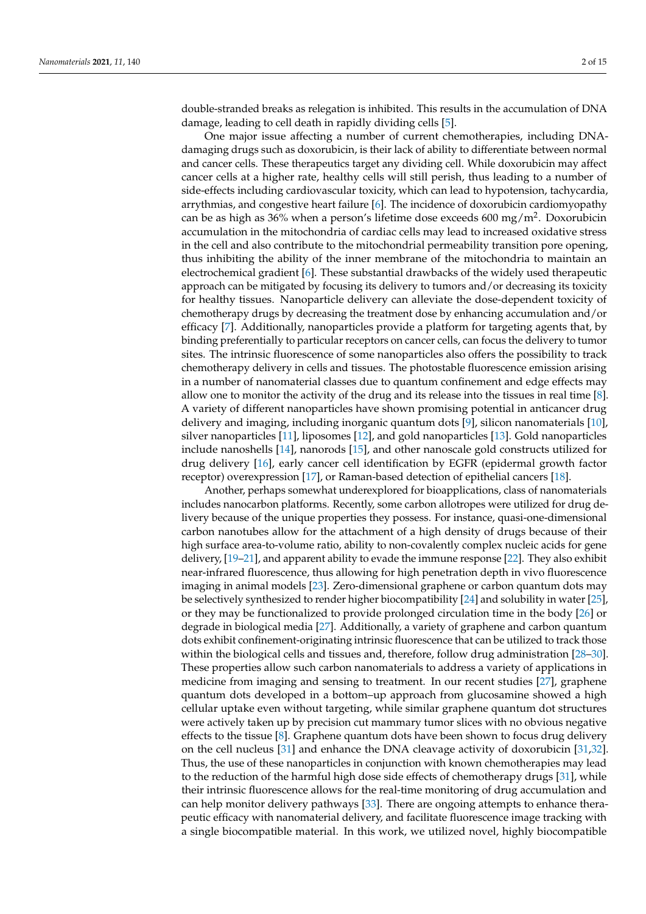double-stranded breaks as relegation is inhibited. This results in the accumulation of DNA damage, leading to cell death in rapidly dividing cells [\[5\]](#page-12-4).

One major issue affecting a number of current chemotherapies, including DNAdamaging drugs such as doxorubicin, is their lack of ability to differentiate between normal and cancer cells. These therapeutics target any dividing cell. While doxorubicin may affect cancer cells at a higher rate, healthy cells will still perish, thus leading to a number of side-effects including cardiovascular toxicity, which can lead to hypotension, tachycardia, arrythmias, and congestive heart failure [\[6\]](#page-12-5). The incidence of doxorubicin cardiomyopathy can be as high as 36% when a person's lifetime dose exceeds 600 mg/m<sup>2</sup>. Doxorubicin accumulation in the mitochondria of cardiac cells may lead to increased oxidative stress in the cell and also contribute to the mitochondrial permeability transition pore opening, thus inhibiting the ability of the inner membrane of the mitochondria to maintain an electrochemical gradient [\[6\]](#page-12-5). These substantial drawbacks of the widely used therapeutic approach can be mitigated by focusing its delivery to tumors and/or decreasing its toxicity for healthy tissues. Nanoparticle delivery can alleviate the dose-dependent toxicity of chemotherapy drugs by decreasing the treatment dose by enhancing accumulation and/or efficacy [\[7\]](#page-12-6). Additionally, nanoparticles provide a platform for targeting agents that, by binding preferentially to particular receptors on cancer cells, can focus the delivery to tumor sites. The intrinsic fluorescence of some nanoparticles also offers the possibility to track chemotherapy delivery in cells and tissues. The photostable fluorescence emission arising in a number of nanomaterial classes due to quantum confinement and edge effects may allow one to monitor the activity of the drug and its release into the tissues in real time [\[8\]](#page-12-7). A variety of different nanoparticles have shown promising potential in anticancer drug delivery and imaging, including inorganic quantum dots [\[9\]](#page-12-8), silicon nanomaterials [\[10\]](#page-12-9), silver nanoparticles [\[11\]](#page-12-10), liposomes [\[12\]](#page-12-11), and gold nanoparticles [\[13\]](#page-12-12). Gold nanoparticles include nanoshells [\[14\]](#page-12-13), nanorods [\[15\]](#page-12-14), and other nanoscale gold constructs utilized for drug delivery [\[16\]](#page-12-15), early cancer cell identification by EGFR (epidermal growth factor receptor) overexpression [\[17\]](#page-12-16), or Raman-based detection of epithelial cancers [\[18\]](#page-12-17).

Another, perhaps somewhat underexplored for bioapplications, class of nanomaterials includes nanocarbon platforms. Recently, some carbon allotropes were utilized for drug delivery because of the unique properties they possess. For instance, quasi-one-dimensional carbon nanotubes allow for the attachment of a high density of drugs because of their high surface area-to-volume ratio, ability to non-covalently complex nucleic acids for gene delivery, [\[19–](#page-12-18)[21\]](#page-13-0), and apparent ability to evade the immune response [\[22\]](#page-13-1). They also exhibit near-infrared fluorescence, thus allowing for high penetration depth in vivo fluorescence imaging in animal models [\[23\]](#page-13-2). Zero-dimensional graphene or carbon quantum dots may be selectively synthesized to render higher biocompatibility [\[24\]](#page-13-3) and solubility in water [\[25\]](#page-13-4), or they may be functionalized to provide prolonged circulation time in the body [\[26\]](#page-13-5) or degrade in biological media [\[27\]](#page-13-6). Additionally, a variety of graphene and carbon quantum dots exhibit confinement-originating intrinsic fluorescence that can be utilized to track those within the biological cells and tissues and, therefore, follow drug administration [\[28](#page-13-7)[–30\]](#page-13-8). These properties allow such carbon nanomaterials to address a variety of applications in medicine from imaging and sensing to treatment. In our recent studies [\[27\]](#page-13-6), graphene quantum dots developed in a bottom–up approach from glucosamine showed a high cellular uptake even without targeting, while similar graphene quantum dot structures were actively taken up by precision cut mammary tumor slices with no obvious negative effects to the tissue [\[8\]](#page-12-7). Graphene quantum dots have been shown to focus drug delivery on the cell nucleus [\[31\]](#page-13-9) and enhance the DNA cleavage activity of doxorubicin [\[31,](#page-13-9)[32\]](#page-13-10). Thus, the use of these nanoparticles in conjunction with known chemotherapies may lead to the reduction of the harmful high dose side effects of chemotherapy drugs [\[31\]](#page-13-9), while their intrinsic fluorescence allows for the real-time monitoring of drug accumulation and can help monitor delivery pathways [\[33\]](#page-13-11). There are ongoing attempts to enhance therapeutic efficacy with nanomaterial delivery, and facilitate fluorescence image tracking with a single biocompatible material. In this work, we utilized novel, highly biocompatible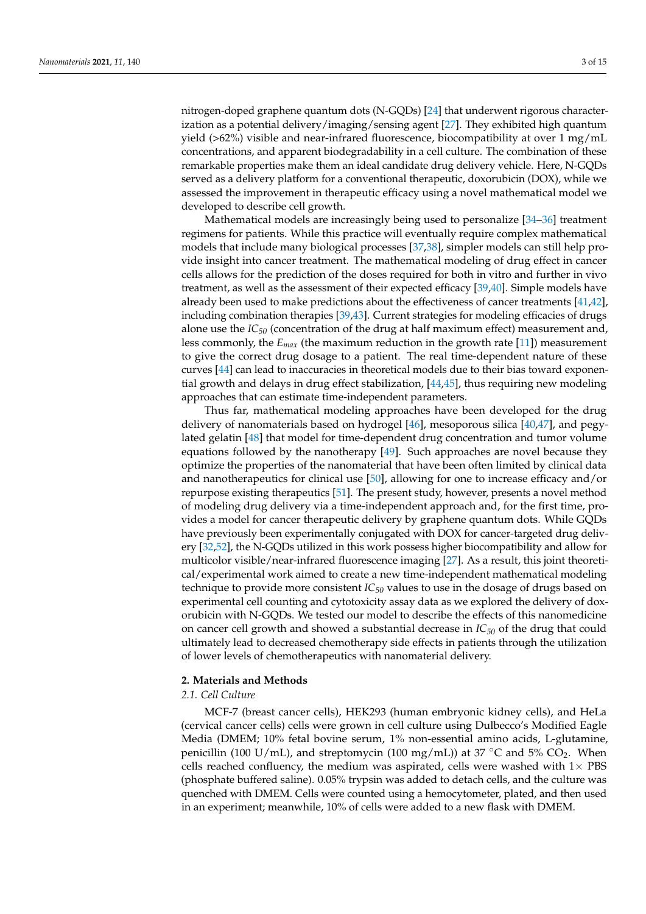nitrogen-doped graphene quantum dots (N-GQDs) [\[24\]](#page-13-3) that underwent rigorous characterization as a potential delivery/imaging/sensing agent [\[27\]](#page-13-6). They exhibited high quantum yield (>62%) visible and near-infrared fluorescence, biocompatibility at over 1 mg/mL concentrations, and apparent biodegradability in a cell culture. The combination of these remarkable properties make them an ideal candidate drug delivery vehicle. Here, N-GQDs served as a delivery platform for a conventional therapeutic, doxorubicin (DOX), while we assessed the improvement in therapeutic efficacy using a novel mathematical model we developed to describe cell growth.

Mathematical models are increasingly being used to personalize [\[34–](#page-13-12)[36\]](#page-13-13) treatment regimens for patients. While this practice will eventually require complex mathematical models that include many biological processes [\[37,](#page-13-14)[38\]](#page-13-15), simpler models can still help provide insight into cancer treatment. The mathematical modeling of drug effect in cancer cells allows for the prediction of the doses required for both in vitro and further in vivo treatment, as well as the assessment of their expected efficacy [\[39](#page-13-16)[,40\]](#page-13-17). Simple models have already been used to make predictions about the effectiveness of cancer treatments [\[41](#page-13-18)[,42\]](#page-13-19), including combination therapies [\[39](#page-13-16)[,43\]](#page-13-20). Current strategies for modeling efficacies of drugs alone use the *IC<sup>50</sup>* (concentration of the drug at half maximum effect) measurement and, less commonly, the *Emax* (the maximum reduction in the growth rate [\[11\]](#page-12-10)) measurement to give the correct drug dosage to a patient. The real time-dependent nature of these curves [\[44\]](#page-13-21) can lead to inaccuracies in theoretical models due to their bias toward exponential growth and delays in drug effect stabilization, [\[44,](#page-13-21)[45\]](#page-13-22), thus requiring new modeling approaches that can estimate time-independent parameters.

Thus far, mathematical modeling approaches have been developed for the drug delivery of nanomaterials based on hydrogel [\[46\]](#page-14-0), mesoporous silica [\[40](#page-13-17)[,47\]](#page-14-1), and pegylated gelatin [\[48\]](#page-14-2) that model for time-dependent drug concentration and tumor volume equations followed by the nanotherapy [\[49\]](#page-14-3). Such approaches are novel because they optimize the properties of the nanomaterial that have been often limited by clinical data and nanotherapeutics for clinical use [\[50\]](#page-14-4), allowing for one to increase efficacy and/or repurpose existing therapeutics [\[51\]](#page-14-5). The present study, however, presents a novel method of modeling drug delivery via a time-independent approach and, for the first time, provides a model for cancer therapeutic delivery by graphene quantum dots. While GQDs have previously been experimentally conjugated with DOX for cancer-targeted drug delivery [\[32,](#page-13-10)[52\]](#page-14-6), the N-GQDs utilized in this work possess higher biocompatibility and allow for multicolor visible/near-infrared fluorescence imaging [\[27\]](#page-13-6). As a result, this joint theoretical/experimental work aimed to create a new time-independent mathematical modeling technique to provide more consistent *IC<sup>50</sup>* values to use in the dosage of drugs based on experimental cell counting and cytotoxicity assay data as we explored the delivery of doxorubicin with N-GQDs. We tested our model to describe the effects of this nanomedicine on cancer cell growth and showed a substantial decrease in *IC<sup>50</sup>* of the drug that could ultimately lead to decreased chemotherapy side effects in patients through the utilization of lower levels of chemotherapeutics with nanomaterial delivery.

#### **2. Materials and Methods**

## *2.1. Cell Culture*

MCF-7 (breast cancer cells), HEK293 (human embryonic kidney cells), and HeLa (cervical cancer cells) cells were grown in cell culture using Dulbecco's Modified Eagle Media (DMEM; 10% fetal bovine serum, 1% non-essential amino acids, L-glutamine, penicillin (100 U/mL), and streptomycin (100 mg/mL)) at 37 °C and 5%  $CO<sub>2</sub>$ . When cells reached confluency, the medium was aspirated, cells were washed with  $1\times$  PBS (phosphate buffered saline). 0.05% trypsin was added to detach cells, and the culture was quenched with DMEM. Cells were counted using a hemocytometer, plated, and then used in an experiment; meanwhile, 10% of cells were added to a new flask with DMEM.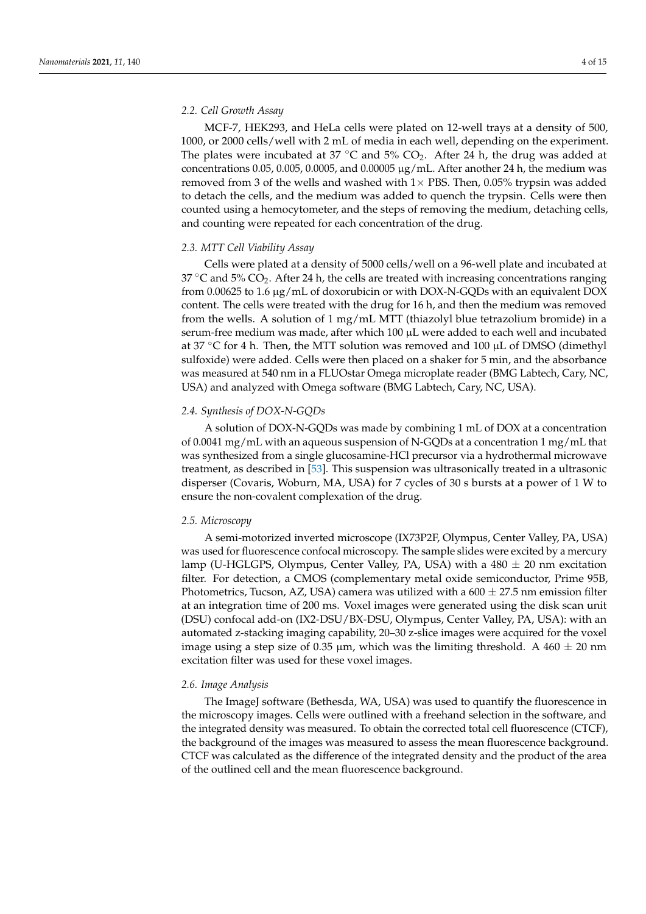## *2.2. Cell Growth Assay*

MCF-7, HEK293, and HeLa cells were plated on 12-well trays at a density of 500, 1000, or 2000 cells/well with 2 mL of media in each well, depending on the experiment. The plates were incubated at 37 °C and 5%  $CO<sub>2</sub>$ . After 24 h, the drug was added at concentrations 0.05, 0.005, 0.0005, and 0.00005  $\mu$ g/mL. After another 24 h, the medium was removed from 3 of the wells and washed with  $1\times$  PBS. Then, 0.05% trypsin was added to detach the cells, and the medium was added to quench the trypsin. Cells were then counted using a hemocytometer, and the steps of removing the medium, detaching cells, and counting were repeated for each concentration of the drug.

#### *2.3. MTT Cell Viability Assay*

Cells were plated at a density of 5000 cells/well on a 96-well plate and incubated at 37  $\degree$ C and 5% CO<sub>2</sub>. After 24 h, the cells are treated with increasing concentrations ranging from 0.00625 to 1.6 µg/mL of doxorubicin or with DOX-N-GQDs with an equivalent DOX content. The cells were treated with the drug for 16 h, and then the medium was removed from the wells. A solution of 1 mg/mL MTT (thiazolyl blue tetrazolium bromide) in a serum-free medium was made, after which  $100 \mu L$  were added to each well and incubated at 37  $\degree$ C for 4 h. Then, the MTT solution was removed and 100 µL of DMSO (dimethyl sulfoxide) were added. Cells were then placed on a shaker for 5 min, and the absorbance was measured at 540 nm in a FLUOstar Omega microplate reader (BMG Labtech, Cary, NC, USA) and analyzed with Omega software (BMG Labtech, Cary, NC, USA).

## *2.4. Synthesis of DOX-N-GQDs*

A solution of DOX-N-GQDs was made by combining 1 mL of DOX at a concentration of 0.0041 mg/mL with an aqueous suspension of N-GQDs at a concentration 1 mg/mL that was synthesized from a single glucosamine-HCl precursor via a hydrothermal microwave treatment, as described in [\[53\]](#page-14-7). This suspension was ultrasonically treated in a ultrasonic disperser (Covaris, Woburn, MA, USA) for 7 cycles of 30 s bursts at a power of 1 W to ensure the non-covalent complexation of the drug.

#### *2.5. Microscopy*

A semi-motorized inverted microscope (IX73P2F, Olympus, Center Valley, PA, USA) was used for fluorescence confocal microscopy. The sample slides were excited by a mercury lamp (U-HGLGPS, Olympus, Center Valley, PA, USA) with a  $480 \pm 20$  nm excitation filter. For detection, a CMOS (complementary metal oxide semiconductor, Prime 95B, Photometrics, Tucson, AZ, USA) camera was utilized with a  $600 \pm 27.5$  nm emission filter at an integration time of 200 ms. Voxel images were generated using the disk scan unit (DSU) confocal add-on (IX2-DSU/BX-DSU, Olympus, Center Valley, PA, USA): with an automated z-stacking imaging capability, 20–30 z-slice images were acquired for the voxel image using a step size of 0.35  $\mu$ m, which was the limiting threshold. A 460  $\pm$  20 nm excitation filter was used for these voxel images.

#### *2.6. Image Analysis*

The ImageJ software (Bethesda, WA, USA) was used to quantify the fluorescence in the microscopy images. Cells were outlined with a freehand selection in the software, and the integrated density was measured. To obtain the corrected total cell fluorescence (CTCF), the background of the images was measured to assess the mean fluorescence background. CTCF was calculated as the difference of the integrated density and the product of the area of the outlined cell and the mean fluorescence background.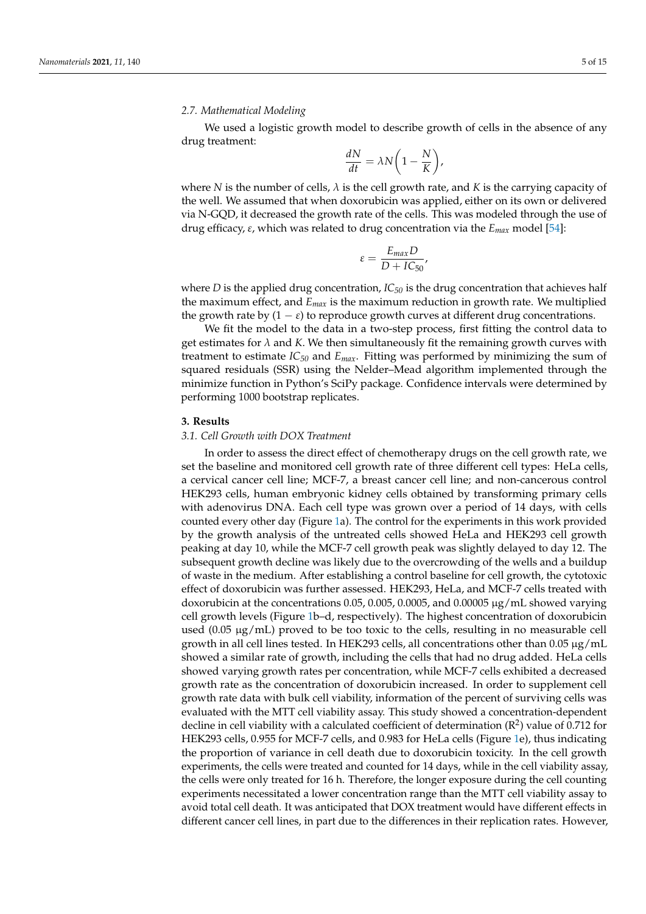## *2.7. Mathematical Modeling*

We used a logistic growth model to describe growth of cells in the absence of any drug treatment:

$$
\frac{dN}{dt} = \lambda N \bigg( 1 - \frac{N}{K} \bigg),
$$

where *N* is the number of cells,  $\lambda$  is the cell growth rate, and *K* is the carrying capacity of the well. We assumed that when doxorubicin was applied, either on its own or delivered via N-GQD, it decreased the growth rate of the cells. This was modeled through the use of drug efficacy, *ε*, which was related to drug concentration via the *Emax* model [\[54\]](#page-14-8):

$$
\varepsilon = \frac{E_{max}D}{D + IC_{50}}
$$

,

where *D* is the applied drug concentration,  $IC_{50}$  is the drug concentration that achieves half the maximum effect, and *Emax* is the maximum reduction in growth rate. We multiplied the growth rate by  $(1 - \varepsilon)$  to reproduce growth curves at different drug concentrations.

We fit the model to the data in a two-step process, first fitting the control data to get estimates for *λ* and *K*. We then simultaneously fit the remaining growth curves with treatment to estimate *IC<sup>50</sup>* and *Emax*. Fitting was performed by minimizing the sum of squared residuals (SSR) using the Nelder–Mead algorithm implemented through the minimize function in Python's SciPy package. Confidence intervals were determined by performing 1000 bootstrap replicates.

## **3. Results**

#### *3.1. Cell Growth with DOX Treatment*

In order to assess the direct effect of chemotherapy drugs on the cell growth rate, we set the baseline and monitored cell growth rate of three different cell types: HeLa cells, a cervical cancer cell line; MCF-7, a breast cancer cell line; and non-cancerous control HEK293 cells, human embryonic kidney cells obtained by transforming primary cells with adenovirus DNA. Each cell type was grown over a period of 14 days, with cells counted every other day (Figure [1a](#page-5-0)). The control for the experiments in this work provided by the growth analysis of the untreated cells showed HeLa and HEK293 cell growth peaking at day 10, while the MCF-7 cell growth peak was slightly delayed to day 12. The subsequent growth decline was likely due to the overcrowding of the wells and a buildup of waste in the medium. After establishing a control baseline for cell growth, the cytotoxic effect of doxorubicin was further assessed. HEK293, HeLa, and MCF-7 cells treated with doxorubicin at the concentrations 0.05, 0.005, 0.0005, and 0.00005 µg/mL showed varying cell growth levels (Figure [1b](#page-5-0)–d, respectively). The highest concentration of doxorubicin used (0.05  $\mu$ g/mL) proved to be too toxic to the cells, resulting in no measurable cell growth in all cell lines tested. In HEK293 cells, all concentrations other than 0.05 µg/mL showed a similar rate of growth, including the cells that had no drug added. HeLa cells showed varying growth rates per concentration, while MCF-7 cells exhibited a decreased growth rate as the concentration of doxorubicin increased. In order to supplement cell growth rate data with bulk cell viability, information of the percent of surviving cells was evaluated with the MTT cell viability assay. This study showed a concentration-dependent decline in cell viability with a calculated coefficient of determination  $(R^2)$  value of 0.712 for HEK293 cells, 0.955 for MCF-7 cells, and 0.983 for HeLa cells (Figure [1e](#page-5-0)), thus indicating the proportion of variance in cell death due to doxorubicin toxicity. In the cell growth experiments, the cells were treated and counted for 14 days, while in the cell viability assay, the cells were only treated for 16 h. Therefore, the longer exposure during the cell counting experiments necessitated a lower concentration range than the MTT cell viability assay to avoid total cell death. It was anticipated that DOX treatment would have different effects in different cancer cell lines, in part due to the differences in their replication rates. However,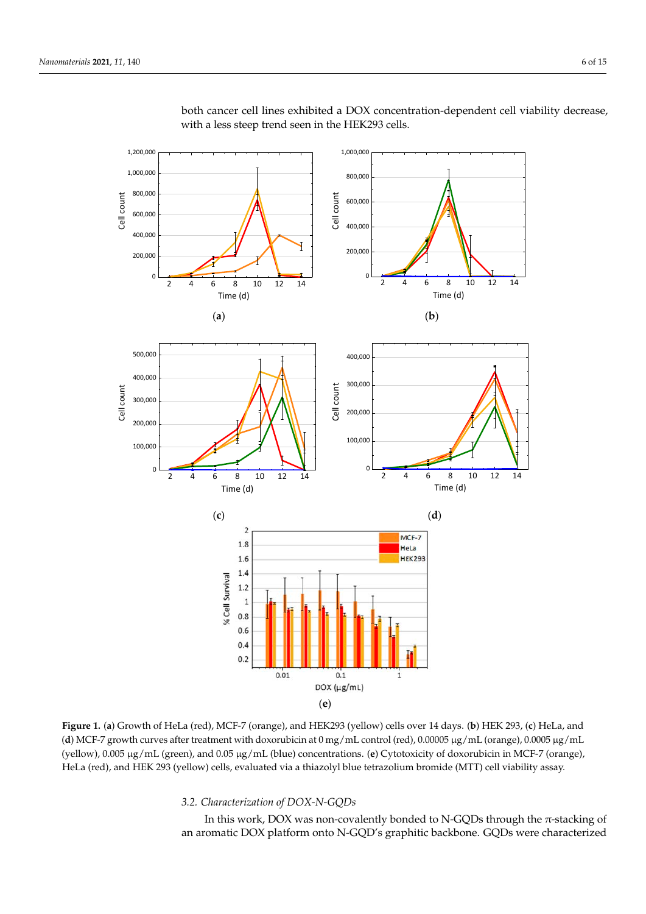<span id="page-5-0"></span>

both cancer cell lines exhibited a DOX concentration-dependent cell viability decrease, with a less steep trend seen in the HEK293 cells. decrease, with a less steep trend seen in the HEK293 cells.

Figure 1. (a) Growth of HeLa (red), MCF-7 (orange), and HEK293 (yellow) cells over 14 days. (b) HEK 293, (c) HeLa, and (d) MCF-7 growth curves after treatment with doxorubicin at 0 mg/mL control (red), 0.00005 µg/mL (orange), 0.0005 µg/mL control (red), 0.00005 μg/mL (orange), 0.0005 μg/mL (yellow), 0.005 μg/mL (green), and 0.05 μg/mL (yellow), 0.005 µg/mL (green), and 0.05 µg/mL (blue) concentrations. (**e**) Cytotoxicity of doxorubicin in MCF-7 (orange), (blue) concentrations. (**e**) Cytotoxicity of doxorubicin in MCF-7 (orange), HeLa (red), and HEK 293 HeLa (red), and HEK 293 (yellow) cells, evaluated via a thiazolyl blue tetrazolium bromide (MTT) cell viability assay.<br>.

# *3.2. Characterization of DOX-N-GQDs 3.2. Characterization of DOX-N-GQDs*

In this work, DOX was non-covalently bonded to N-GQDs through the  $\pi$ -stacking of an aromatic DOX platform onto N-GQD's graphitic backbone. GQDs were characterized an aromatic DOX platform onto N-GQD's graphitic backbone. GQDs were characterized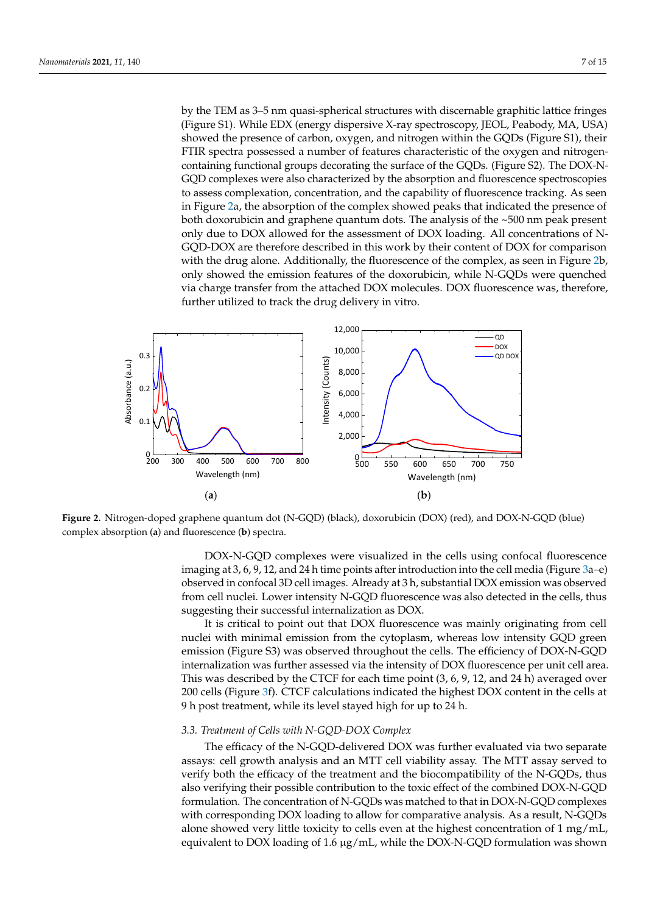by the TEM as 3–5 nm quasi-spherical structures with discernable graphitic lattice fringes (Figure S1). While EDX (energy dispersive X-ray spectroscopy, JEOL, Peabody, MA, USA) showed the presence of carbon, oxygen, and nitrogen within the GQDs (Figure S1), their FTIR spectra possessed a number of features characteristic of the oxygen and nitrogencontaining functional groups decorating the surface of the GQDs. (Figure S2). The DOX-N-GQD complexes were also characterized by the absorption and fluorescence spectroscopies to assess complexation, concentration, and the capability of fluorescence tracking. As seen in Figure 2a, the absorption of the complex showed peaks that indicated the presence of both doxorubicin and graphene quantum dots. The analysis of the  $\sim\!\!500$  nm peak present only due to DOX allowed for the assessment of DOX loading. All concentrations of N-GQD-DOX are therefore described in this work by their content of DOX for comparison with the drug alone. Additionally, the fluorescence of the complex, as seen in Figure [2b](#page-6-0), only showed the emission features of the doxorubicin, while N-GQDs were quenched via charge transfer from the attached DOX molecules. DOX fluorescence was, therefore, further utilized to track the drug delivery in vitro.

<span id="page-6-0"></span>

**Figure 2.** Nitrogen-doped graphene quantum dot (N-GQD) (black), doxorubicin (DOX) (red), and **Figure 2.** Nitrogen-doped graphene quantum dot (N-GQD) (black), doxorubicin (DOX) (red), and DOX-N-GQD (blue) complex absorption (**a**) and fluorescence (**b**) spectra.

DOX-N-GQD complexes were visualized in the cells using confocal fluorescence aging at 3, 6, 9, 12, and 24 h time points after introduction into the cell media (Figure 3a– imaging at 3, 6, 9, 12, and 24 h time points after introduction into the cell media (Figure [3a](#page-7-0)–e) observed in confocal 3D cell images. Already at 3 h, substantial DOX emission was observed from cell nuclei. Lower intensity N-GQD fluorescence was also detected in the cells, thus cells, thus suggesting their successful internalization as DOX. suggesting their successful internalization as DOX.

> It is critical to point out that DOX fluorescence was mainly originating from cell nuclei with minimal emission from the cytoplasm, whereas low intensity GQD green emission (Figure S3) was observed throughout the cells. The efficiency of DOX-N-GQD internalization was further assessed via the intensity of DOX fluorescence per unit cell area. This was described by the CTCF for each time point (3, 6, 9, 12, and 24 h) averaged over 200 cells (Figure [3f](#page-7-0)). CTCF calculations indicated the highest DOX content in the cells at 9 h post treatment, while its level stayed high for up to 24 h.

## *3.3. Treatment of Cells with N-GQD-DOX Complex*

(**a**) (**b**) (**c**) assays: cell growth analysis and an MTT cell viability assay. The MTT assay served to The efficacy of the N-GQD-delivered DOX was further evaluated via two separate verify both the efficacy of the treatment and the biocompatibility of the N-GQDs, thus also verifying their possible contribution to the toxic effect of the combined DOX-N-GQD formulation. The concentration of N-GQDs was matched to that in DOX-N-GQD complexes with corresponding DOX loading to allow for comparative analysis. As a result, N-GQDs alone showed very little toxicity to cells even at the highest concentration of  $1 \text{ mg/mL}$ , equivalent to DOX loading of 1.6  $\mu$ g/mL, while the DOX-N-GQD formulation was shown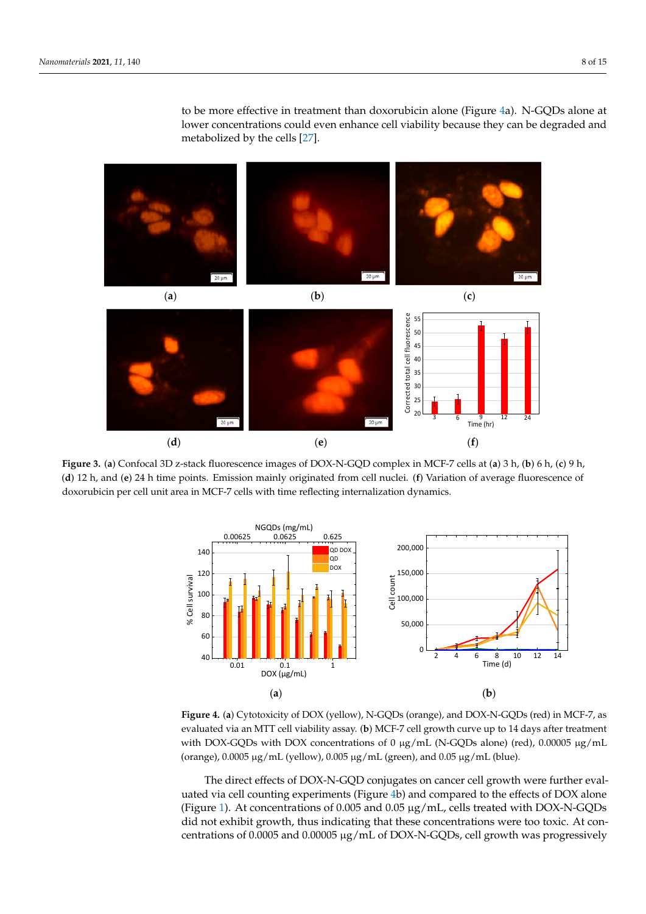to be more effective in treatment than doxorubicin alone (Figure [4a](#page-7-1)). N-GQDs alone at lower concentrations could even enhance cell viability because they can be degraded and metabolized by the cells [\[27\]](#page-13-6).  $\frac{1}{2}$  and  $\frac{1}{2}$  and  $\frac{1}{2}$  and  $\frac{1}{2}$  and  $\frac{1}{2}$  and  $\frac{1}{2}$  and  $\frac{1}{2}$  and  $\frac{1}{2}$  and  $\frac{1}{2}$  and  $\frac{1}{2}$  and  $\frac{1}{2}$  and  $\frac{1}{2}$  and  $\frac{1}{2}$  and  $\frac{1}{2}$  and  $\frac{1}{2}$  and  $\frac{1}{2}$  a  $\sum_{i=1}^{\infty}$  the suggestion  $\sum_{i=1}^{\infty}$ .  $\frac{1}{2}$ 

<span id="page-7-0"></span>

Figure 3. (a) Confocal 3D z-stack fluorescence images of DOX-N-GQD complex in MCF-7 cells at (a) 3 h, (b) 6 h, (c) 9 h, (d) 12 h, and (e) 24 h time points. Emission mainly originated from cell nuclei. (f) Variation of average fluorescence of doxorubicin per cell unit area in MCF-7 cells with time reflecting internalization dynamics.  $\frac{d}{dx}$   $\frac{d}{dx}$ .

<span id="page-7-1"></span>

Figure 4. (a) Cytotoxicity of DOX (yellow), N-GQDs (orange), and DOX-N-GQDs (red) in MCF-7, as evaluated via an MTT cell viability assay. (b) MCF-7 cell growth curve up to 14 days after treatment with DOX-GQDs with DOX concentrations of 0 μg/mL (N-GQDs alone) (red), 0.00005 μg/mL (orange), 0.0005  $\mu$ g/mL (yellow), 0.005  $\mu$ g/mL (green), and 0.05  $\mu$ g/mL (blue).  $\frac{1}{2}$  tratical via bility because they can be degraded and metabolized by degraded and metabolized by degraded by  $\frac{1}{2}$ 

The direct effects of DOX-N-GQD conjugates on cancer cell growth were further evaldid not exhibit growth, thus indicating that these concentrations were too toxic. At contions of 0.0005 and 0.00005  $\mu$ g/m (Figure [1\)](#page-5-0). At concentrations of 0.005 and 0.05  $\mu$ g/mL, cells treated with DOX-N-GQDs  $\sim$ centrations of 0.0005 and 0.00005 µg/mL of DOX-N-GQDs, cell growth was progressively uated via cell counting experiments (Figure [4b](#page-7-1)) and compared to the effects of DOX alone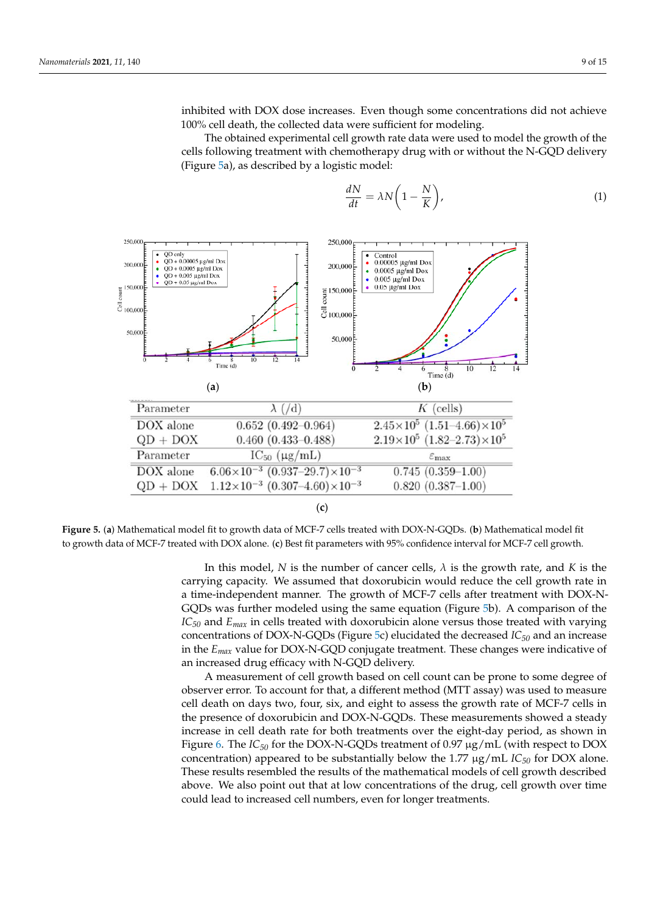inhibited with DOX dose increases. Even though some concentrations did not achieve 100% cell death, the collected data were sufficient for modeling.

The obtained experimental cell growth rate data were used to model the growth of the<br>The obtained experimental cell growth rate data were used to model the growth of the rice obtained experimental een growth rate data were used to moder the growth of the cells following treatment with chemotherapy drug with or without the N-GQD delivery (Figure [5a](#page-8-0)), as described by a logistic model: further modeled using the same equation (Figure 5b). A comparison of the *IC50* and *Emax*

$$
\frac{dN}{dt} = \lambda N \left( 1 - \frac{N}{K} \right),\tag{1}
$$

<span id="page-8-0"></span>

Figure 5. (a) Mathematical model fit to growth data of MCF-7 cells treated with DOX-N-GQDs. (b) Mathematical model fit to growth data of MCF-7 treated with DOX alone. (c) Best fit parameters with 95% confidence interval for MCF-7 cell growth. with  $95%$  confidence interval for  $\mathcal{L}$ 

In this model, *N* is the number of cancer cells, *λ* is the growth rate, and *K* is the carrying capacity. We assumed that doxorubicin would reduce the cell growth rate in a time-independent manner. The growth of MCF-7 cells after treatment with DOX-N-GQDs was further modeled using the same equation (Figure [5b](#page-8-0)). A comparison of the *IC<sup>50</sup>* and *Emax* in cells treated with doxorubicin alone versus those treated with varying concentrations of DOX-N-GQDs (Figure [5c](#page-8-0)) elucidated the decreased *IC<sup>50</sup>* and an increase in the *Emax* value for DOX-N-GQD conjugate treatment. These changes were indicative of an increased drug efficacy with N-GQD delivery.

A measurement of cell growth based on cell count can be prone to some degree of observer error. To account for that, a different method (MTT assay) was used to measure cell death on days two, four, six, and eight to assess the growth rate of MCF-7 cells in the presence of doxorubicin and DOX-N-GQDs. These measurements showed a steady increase in cell death rate for both treatments over the eight-day period, as shown in Figure [6.](#page-9-0) The *IC<sup>50</sup>* for the DOX-N-GQDs treatment of 0.97 µg/mL (with respect to DOX concentration) appeared to be substantially below the 1.77  $\mu$ g/mL *IC*<sub>50</sub> for DOX alone. These results resembled the results of the mathematical models of cell growth described above. We also point out that at low concentrations of the drug, cell growth over time could lead to increased cell numbers, even for longer treatments.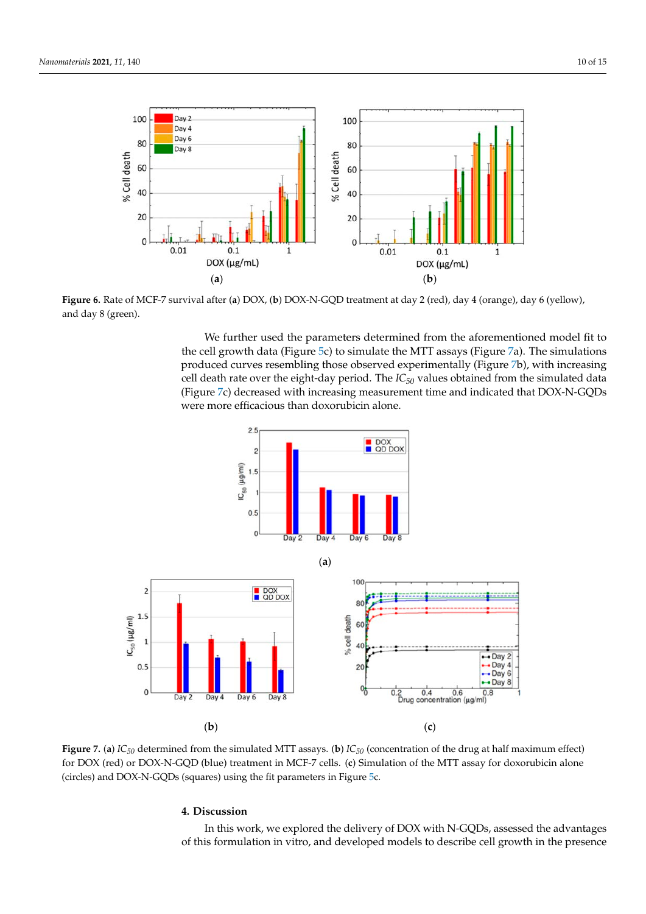longer treatments.

<span id="page-9-0"></span>

Figure 6. Rate of MCF-7 survival after (a) DOX, (b) DOX-N-GQD treatment at day 2 (red), day 4 (orange), day 6 (yellow), and day 8 (green).

We further used the parameters determined from the aforementioned model fit to [th](#page-8-0)e cell growth data (Figure 5c) to simulate the MTT assays (Figure 7a). The simul[ati](#page-9-1)ons produced curves resembling those observed experimentally (Figure 7b), with incre[asi](#page-9-1)ng cell death rate over the eight-day period. The  $IC_{50}$  values obtained from the simulated data (Figure 7c) decreased [w](#page-9-1)ith increasing measurement time and indicated that DOX-N-GQDs were more efficacious than doxorubicin alone.

<span id="page-9-1"></span>

Figure 7. (a)  $IC_{50}$  determined from the simulated MTT assays. (b)  $IC_{50}$  (concentration of the drug at half maximum effect) for DOX (red) or DOX-N-GQD (blue) treatment in MCF-7 cells. (**c**) Simulation of the MTT assay for doxorubicin alone  $\frac{1}{2}$  the MTT as  $\frac{1}{2}$  (course) using the fit parameters in Figure 5. (circles) and DOX-N-GQDs (squares) using the fit parameters in Figure [5c](#page-8-0).

## **4. Discussion**

In this work, we explored the delivery of DOX with N-GQDs, assessed the advantages of this formulation in vitro, and developed models to describe cell growth in the presence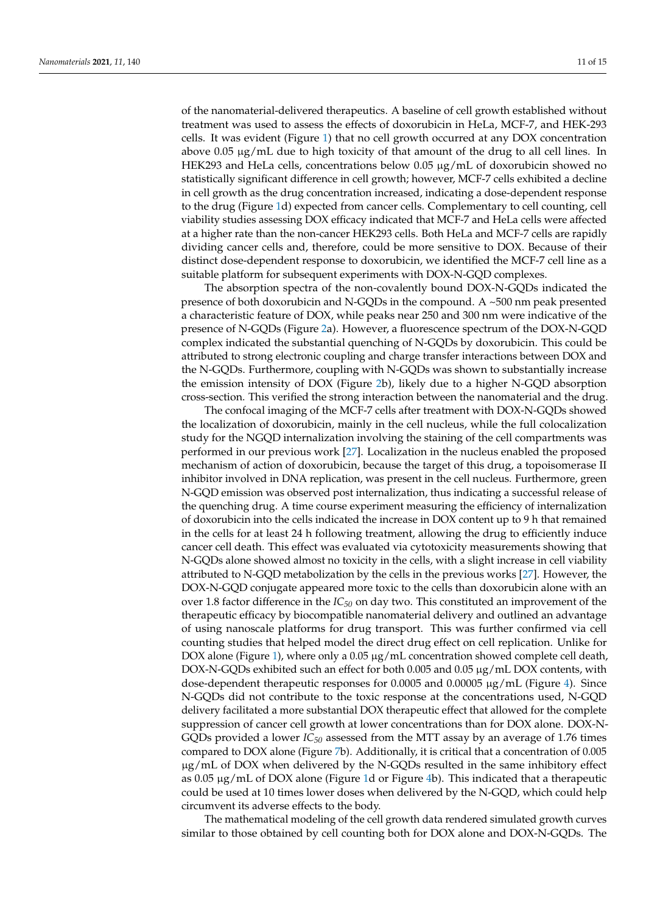of the nanomaterial-delivered therapeutics. A baseline of cell growth established without treatment was used to assess the effects of doxorubicin in HeLa, MCF-7, and HEK-293 cells. It was evident (Figure [1\)](#page-5-0) that no cell growth occurred at any DOX concentration above  $0.05 \mu g/mL$  due to high toxicity of that amount of the drug to all cell lines. In HEK293 and HeLa cells, concentrations below  $0.05 \mu g/mL$  of doxorubicin showed no statistically significant difference in cell growth; however, MCF-7 cells exhibited a decline in cell growth as the drug concentration increased, indicating a dose-dependent response to the drug (Figure [1d](#page-5-0)) expected from cancer cells. Complementary to cell counting, cell viability studies assessing DOX efficacy indicated that MCF-7 and HeLa cells were affected at a higher rate than the non-cancer HEK293 cells. Both HeLa and MCF-7 cells are rapidly dividing cancer cells and, therefore, could be more sensitive to DOX. Because of their distinct dose-dependent response to doxorubicin, we identified the MCF-7 cell line as a suitable platform for subsequent experiments with DOX-N-GQD complexes.

The absorption spectra of the non-covalently bound DOX-N-GQDs indicated the presence of both doxorubicin and N-GQDs in the compound. A  $\sim$  500 nm peak presented a characteristic feature of DOX, while peaks near 250 and 300 nm were indicative of the presence of N-GQDs (Figure [2a](#page-6-0)). However, a fluorescence spectrum of the DOX-N-GQD complex indicated the substantial quenching of N-GQDs by doxorubicin. This could be attributed to strong electronic coupling and charge transfer interactions between DOX and the N-GQDs. Furthermore, coupling with N-GQDs was shown to substantially increase the emission intensity of DOX (Figure [2b](#page-6-0)), likely due to a higher N-GQD absorption cross-section. This verified the strong interaction between the nanomaterial and the drug.

The confocal imaging of the MCF-7 cells after treatment with DOX-N-GQDs showed the localization of doxorubicin, mainly in the cell nucleus, while the full colocalization study for the NGQD internalization involving the staining of the cell compartments was performed in our previous work [\[27\]](#page-13-6). Localization in the nucleus enabled the proposed mechanism of action of doxorubicin, because the target of this drug, a topoisomerase II inhibitor involved in DNA replication, was present in the cell nucleus. Furthermore, green N-GQD emission was observed post internalization, thus indicating a successful release of the quenching drug. A time course experiment measuring the efficiency of internalization of doxorubicin into the cells indicated the increase in DOX content up to 9 h that remained in the cells for at least 24 h following treatment, allowing the drug to efficiently induce cancer cell death. This effect was evaluated via cytotoxicity measurements showing that N-GQDs alone showed almost no toxicity in the cells, with a slight increase in cell viability attributed to N-GQD metabolization by the cells in the previous works [\[27\]](#page-13-6). However, the DOX-N-GQD conjugate appeared more toxic to the cells than doxorubicin alone with an over 1.8 factor difference in the *IC<sup>50</sup>* on day two. This constituted an improvement of the therapeutic efficacy by biocompatible nanomaterial delivery and outlined an advantage of using nanoscale platforms for drug transport. This was further confirmed via cell counting studies that helped model the direct drug effect on cell replication. Unlike for DOX alone (Figure [1\)](#page-5-0), where only a  $0.05 \mu g/mL$  concentration showed complete cell death, DOX-N-GQDs exhibited such an effect for both 0.005 and 0.05 µg/mL DOX contents, with dose-dependent therapeutic responses for  $0.0005$  and  $0.00005 \mu g/mL$  (Figure [4\)](#page-7-1). Since N-GQDs did not contribute to the toxic response at the concentrations used, N-GQD delivery facilitated a more substantial DOX therapeutic effect that allowed for the complete suppression of cancer cell growth at lower concentrations than for DOX alone. DOX-N-GQDs provided a lower *IC<sup>50</sup>* assessed from the MTT assay by an average of 1.76 times compared to DOX alone (Figure [7b](#page-9-1)). Additionally, it is critical that a concentration of 0.005 µg/mL of DOX when delivered by the N-GQDs resulted in the same inhibitory effect as  $0.05 \mu g/mL$  of DOX alone (Figure [1d](#page-5-0) or Figure [4b](#page-7-1)). This indicated that a therapeutic could be used at 10 times lower doses when delivered by the N-GQD, which could help circumvent its adverse effects to the body.

The mathematical modeling of the cell growth data rendered simulated growth curves similar to those obtained by cell counting both for DOX alone and DOX-N-GQDs. The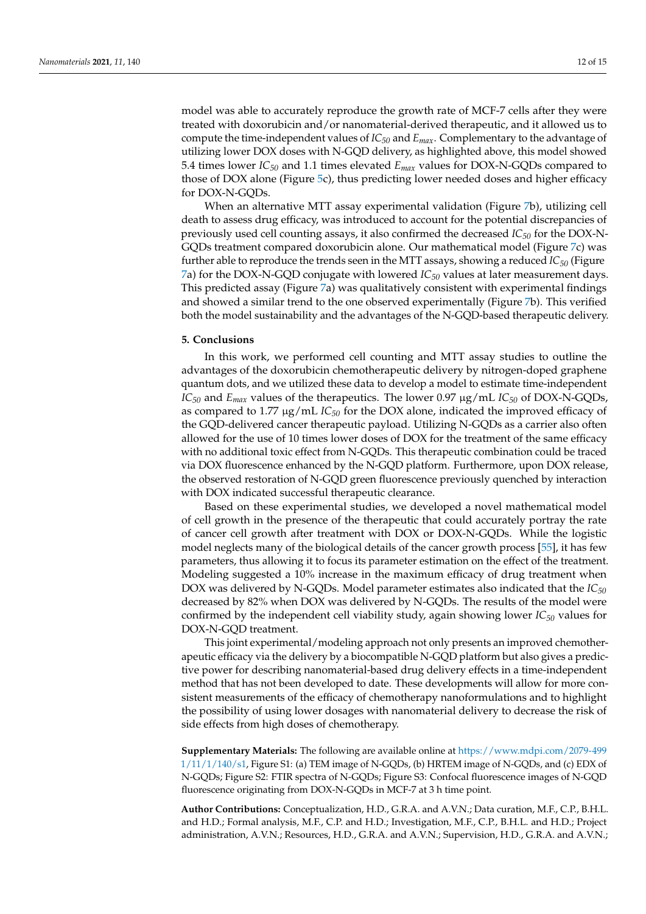model was able to accurately reproduce the growth rate of MCF-7 cells after they were treated with doxorubicin and/or nanomaterial-derived therapeutic, and it allowed us to compute the time-independent values of *IC<sup>50</sup>* and *Emax*. Complementary to the advantage of utilizing lower DOX doses with N-GQD delivery, as highlighted above, this model showed 5.4 times lower *IC<sup>50</sup>* and 1.1 times elevated *Emax* values for DOX-N-GQDs compared to those of DOX alone (Figure [5c](#page-8-0)), thus predicting lower needed doses and higher efficacy for DOX-N-GQDs.

When an alternative MTT assay experimental validation (Figure [7b](#page-9-1)), utilizing cell death to assess drug efficacy, was introduced to account for the potential discrepancies of previously used cell counting assays, it also confirmed the decreased *IC<sup>50</sup>* for the DOX-N-GQDs treatment compared doxorubicin alone. Our mathematical model (Figure [7c](#page-9-1)) was further able to reproduce the trends seen in the MTT assays, showing a reduced *IC<sup>50</sup>* (Figure [7a](#page-9-1)) for the DOX-N-GQD conjugate with lowered *IC<sup>50</sup>* values at later measurement days. This predicted assay (Figure [7a](#page-9-1)) was qualitatively consistent with experimental findings and showed a similar trend to the one observed experimentally (Figure [7b](#page-9-1)). This verified both the model sustainability and the advantages of the N-GQD-based therapeutic delivery.

#### **5. Conclusions**

In this work, we performed cell counting and MTT assay studies to outline the advantages of the doxorubicin chemotherapeutic delivery by nitrogen-doped graphene quantum dots, and we utilized these data to develop a model to estimate time-independent *IC<sup>50</sup>* and *Emax* values of the therapeutics. The lower 0.97 µg/mL *IC<sup>50</sup>* of DOX-N-GQDs, as compared to 1.77  $\mu$ g/mL *IC*<sub>50</sub> for the DOX alone, indicated the improved efficacy of the GQD-delivered cancer therapeutic payload. Utilizing N-GQDs as a carrier also often allowed for the use of 10 times lower doses of DOX for the treatment of the same efficacy with no additional toxic effect from N-GQDs. This therapeutic combination could be traced via DOX fluorescence enhanced by the N-GQD platform. Furthermore, upon DOX release, the observed restoration of N-GQD green fluorescence previously quenched by interaction with DOX indicated successful therapeutic clearance.

Based on these experimental studies, we developed a novel mathematical model of cell growth in the presence of the therapeutic that could accurately portray the rate of cancer cell growth after treatment with DOX or DOX-N-GQDs. While the logistic model neglects many of the biological details of the cancer growth process [\[55\]](#page-14-9), it has few parameters, thus allowing it to focus its parameter estimation on the effect of the treatment. Modeling suggested a 10% increase in the maximum efficacy of drug treatment when DOX was delivered by N-GQDs. Model parameter estimates also indicated that the *IC<sup>50</sup>* decreased by 82% when DOX was delivered by N-GQDs. The results of the model were confirmed by the independent cell viability study, again showing lower *IC<sup>50</sup>* values for DOX-N-GQD treatment.

This joint experimental/modeling approach not only presents an improved chemotherapeutic efficacy via the delivery by a biocompatible N-GQD platform but also gives a predictive power for describing nanomaterial-based drug delivery effects in a time-independent method that has not been developed to date. These developments will allow for more consistent measurements of the efficacy of chemotherapy nanoformulations and to highlight the possibility of using lower dosages with nanomaterial delivery to decrease the risk of side effects from high doses of chemotherapy.

**Supplementary Materials:** The following are available online at [https://www.mdpi.com/2079-499](https://www.mdpi.com/2079-4991/11/1/140/s1)  $1/11/1/140/s1$ , Figure S1: (a) TEM image of N-GQDs, (b) HRTEM image of N-GQDs, and (c) EDX of N-GQDs; Figure S2: FTIR spectra of N-GQDs; Figure S3: Confocal fluorescence images of N-GQD fluorescence originating from DOX-N-GQDs in MCF-7 at 3 h time point.

**Author Contributions:** Conceptualization, H.D., G.R.A. and A.V.N.; Data curation, M.F., C.P., B.H.L. and H.D.; Formal analysis, M.F., C.P. and H.D.; Investigation, M.F., C.P., B.H.L. and H.D.; Project administration, A.V.N.; Resources, H.D., G.R.A. and A.V.N.; Supervision, H.D., G.R.A. and A.V.N.;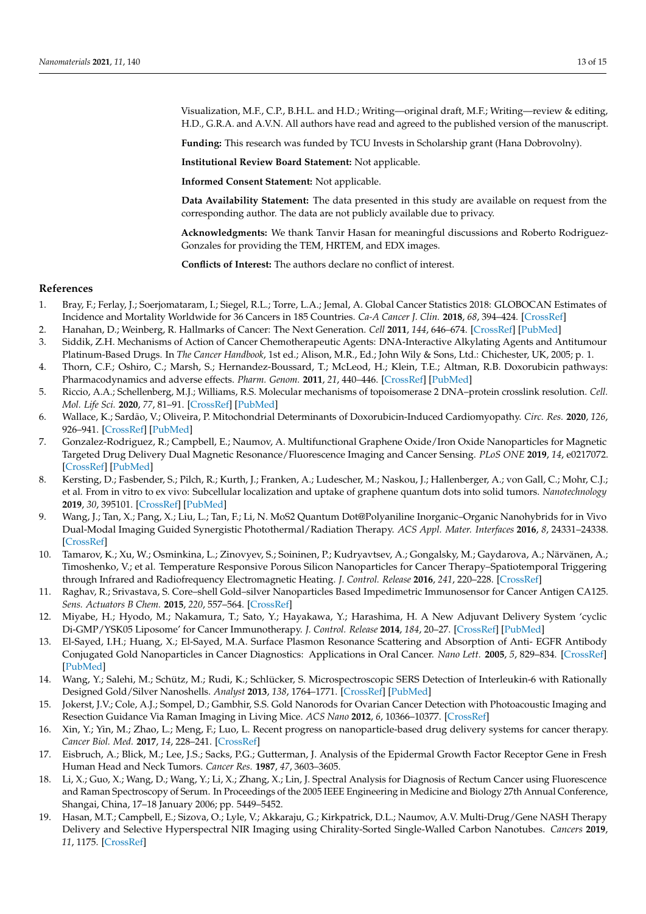Visualization, M.F., C.P., B.H.L. and H.D.; Writing—original draft, M.F.; Writing—review & editing, H.D., G.R.A. and A.V.N. All authors have read and agreed to the published version of the manuscript.

**Funding:** This research was funded by TCU Invests in Scholarship grant (Hana Dobrovolny).

**Institutional Review Board Statement:** Not applicable.

**Informed Consent Statement:** Not applicable.

**Data Availability Statement:** The data presented in this study are available on request from the corresponding author. The data are not publicly available due to privacy.

**Acknowledgments:** We thank Tanvir Hasan for meaningful discussions and Roberto Rodriguez-Gonzales for providing the TEM, HRTEM, and EDX images.

**Conflicts of Interest:** The authors declare no conflict of interest.

#### **References**

- <span id="page-12-0"></span>1. Bray, F.; Ferlay, J.; Soerjomataram, I.; Siegel, R.L.; Torre, L.A.; Jemal, A. Global Cancer Statistics 2018: GLOBOCAN Estimates of Incidence and Mortality Worldwide for 36 Cancers in 185 Countries. *Ca-A Cancer J. Clin.* **2018**, *68*, 394–424. [\[CrossRef\]](http://doi.org/10.3322/caac.21492)
- <span id="page-12-1"></span>2. Hanahan, D.; Weinberg, R. Hallmarks of Cancer: The Next Generation. *Cell* **2011**, *144*, 646–674. [\[CrossRef\]](http://doi.org/10.1016/j.cell.2011.02.013) [\[PubMed\]](http://www.ncbi.nlm.nih.gov/pubmed/21376230)
- <span id="page-12-2"></span>3. Siddik, Z.H. Mechanisms of Action of Cancer Chemotherapeutic Agents: DNA-Interactive Alkylating Agents and Antitumour Platinum-Based Drugs. In *The Cancer Handbook*, 1st ed.; Alison, M.R., Ed.; John Wily & Sons, Ltd.: Chichester, UK, 2005; p. 1.
- <span id="page-12-3"></span>4. Thorn, C.F.; Oshiro, C.; Marsh, S.; Hernandez-Boussard, T.; McLeod, H.; Klein, T.E.; Altman, R.B. Doxorubicin pathways: Pharmacodynamics and adverse effects. *Pharm. Genom.* **2011**, *21*, 440–446. [\[CrossRef\]](http://doi.org/10.1097/FPC.0b013e32833ffb56) [\[PubMed\]](http://www.ncbi.nlm.nih.gov/pubmed/21048526)
- <span id="page-12-4"></span>5. Riccio, A.A.; Schellenberg, M.J.; Williams, R.S. Molecular mechanisms of topoisomerase 2 DNA–protein crosslink resolution. *Cell. Mol. Life Sci.* **2020**, *77*, 81–91. [\[CrossRef\]](http://doi.org/10.1007/s00018-019-03367-z) [\[PubMed\]](http://www.ncbi.nlm.nih.gov/pubmed/31728578)
- <span id="page-12-5"></span>6. Wallace, K.; Sardão, V.; Oliveira, P. Mitochondrial Determinants of Doxorubicin-Induced Cardiomyopathy. *Circ. Res.* **2020**, *126*, 926–941. [\[CrossRef\]](http://doi.org/10.1161/CIRCRESAHA.119.314681) [\[PubMed\]](http://www.ncbi.nlm.nih.gov/pubmed/32213135)
- <span id="page-12-6"></span>7. Gonzalez-Rodriguez, R.; Campbell, E.; Naumov, A. Multifunctional Graphene Oxide/Iron Oxide Nanoparticles for Magnetic Targeted Drug Delivery Dual Magnetic Resonance/Fluorescence Imaging and Cancer Sensing. *PLoS ONE* **2019**, *14*, e0217072. [\[CrossRef\]](http://doi.org/10.1371/journal.pone.0217072) [\[PubMed\]](http://www.ncbi.nlm.nih.gov/pubmed/31170197)
- <span id="page-12-7"></span>8. Kersting, D.; Fasbender, S.; Pilch, R.; Kurth, J.; Franken, A.; Ludescher, M.; Naskou, J.; Hallenberger, A.; von Gall, C.; Mohr, C.J.; et al. From in vitro to ex vivo: Subcellular localization and uptake of graphene quantum dots into solid tumors. *Nanotechnology* **2019**, *30*, 395101. [\[CrossRef\]](http://doi.org/10.1088/1361-6528/ab2cb4) [\[PubMed\]](http://www.ncbi.nlm.nih.gov/pubmed/31239418)
- <span id="page-12-8"></span>9. Wang, J.; Tan, X.; Pang, X.; Liu, L.; Tan, F.; Li, N. MoS2 Quantum Dot@Polyaniline Inorganic–Organic Nanohybrids for in Vivo Dual-Modal Imaging Guided Synergistic Photothermal/Radiation Therapy. *ACS Appl. Mater. Interfaces* **2016**, *8*, 24331–24338. [\[CrossRef\]](http://doi.org/10.1021/acsami.6b08391)
- <span id="page-12-9"></span>10. Tamarov, K.; Xu, W.; Osminkina, L.; Zinovyev, S.; Soininen, P.; Kudryavtsev, A.; Gongalsky, M.; Gaydarova, A.; Närvänen, A.; Timoshenko, V.; et al. Temperature Responsive Porous Silicon Nanoparticles for Cancer Therapy–Spatiotemporal Triggering through Infrared and Radiofrequency Electromagnetic Heating. *J. Control. Release* **2016**, *241*, 220–228. [\[CrossRef\]](http://doi.org/10.1016/j.jconrel.2016.09.028)
- <span id="page-12-10"></span>11. Raghav, R.; Srivastava, S. Core–shell Gold–silver Nanoparticles Based Impedimetric Immunosensor for Cancer Antigen CA125. *Sens. Actuators B Chem.* **2015**, *220*, 557–564. [\[CrossRef\]](http://doi.org/10.1016/j.snb.2015.05.108)
- <span id="page-12-11"></span>12. Miyabe, H.; Hyodo, M.; Nakamura, T.; Sato, Y.; Hayakawa, Y.; Harashima, H. A New Adjuvant Delivery System 'cyclic Di-GMP/YSK05 Liposome' for Cancer Immunotherapy. *J. Control. Release* **2014**, *184*, 20–27. [\[CrossRef\]](http://doi.org/10.1016/j.jconrel.2014.04.004) [\[PubMed\]](http://www.ncbi.nlm.nih.gov/pubmed/24727060)
- <span id="page-12-12"></span>13. El-Sayed, I.H.; Huang, X.; El-Sayed, M.A. Surface Plasmon Resonance Scattering and Absorption of Anti- EGFR Antibody Conjugated Gold Nanoparticles in Cancer Diagnostics: Applications in Oral Cancer. *Nano Lett.* **2005**, *5*, 829–834. [\[CrossRef\]](http://doi.org/10.1021/nl050074e) [\[PubMed\]](http://www.ncbi.nlm.nih.gov/pubmed/15884879)
- <span id="page-12-13"></span>14. Wang, Y.; Salehi, M.; Schütz, M.; Rudi, K.; Schlücker, S. Microspectroscopic SERS Detection of Interleukin-6 with Rationally Designed Gold/Silver Nanoshells. *Analyst* **2013**, *138*, 1764–1771. [\[CrossRef\]](http://doi.org/10.1039/c3an36610c) [\[PubMed\]](http://www.ncbi.nlm.nih.gov/pubmed/23364184)
- <span id="page-12-14"></span>15. Jokerst, J.V.; Cole, A.J.; Sompel, D.; Gambhir, S.S. Gold Nanorods for Ovarian Cancer Detection with Photoacoustic Imaging and Resection Guidance Via Raman Imaging in Living Mice. *ACS Nano* **2012**, *6*, 10366–10377. [\[CrossRef\]](http://doi.org/10.1021/nn304347g)
- <span id="page-12-15"></span>16. Xin, Y.; Yin, M.; Zhao, L.; Meng, F.; Luo, L. Recent progress on nanoparticle-based drug delivery systems for cancer therapy. *Cancer Biol. Med.* **2017**, *14*, 228–241. [\[CrossRef\]](http://doi.org/10.20892/j.issn.2095-3941.2017.0052)
- <span id="page-12-16"></span>17. Eisbruch, A.; Blick, M.; Lee, J.S.; Sacks, P.G.; Gutterman, J. Analysis of the Epidermal Growth Factor Receptor Gene in Fresh Human Head and Neck Tumors. *Cancer Res.* **1987**, *47*, 3603–3605.
- <span id="page-12-17"></span>18. Li, X.; Guo, X.; Wang, D.; Wang, Y.; Li, X.; Zhang, X.; Lin, J. Spectral Analysis for Diagnosis of Rectum Cancer using Fluorescence and Raman Spectroscopy of Serum. In Proceedings of the 2005 IEEE Engineering in Medicine and Biology 27th Annual Conference, Shangai, China, 17–18 January 2006; pp. 5449–5452.
- <span id="page-12-18"></span>19. Hasan, M.T.; Campbell, E.; Sizova, O.; Lyle, V.; Akkaraju, G.; Kirkpatrick, D.L.; Naumov, A.V. Multi-Drug/Gene NASH Therapy Delivery and Selective Hyperspectral NIR Imaging using Chirality-Sorted Single-Walled Carbon Nanotubes. *Cancers* **2019**, *11*, 1175. [\[CrossRef\]](http://doi.org/10.3390/cancers11081175)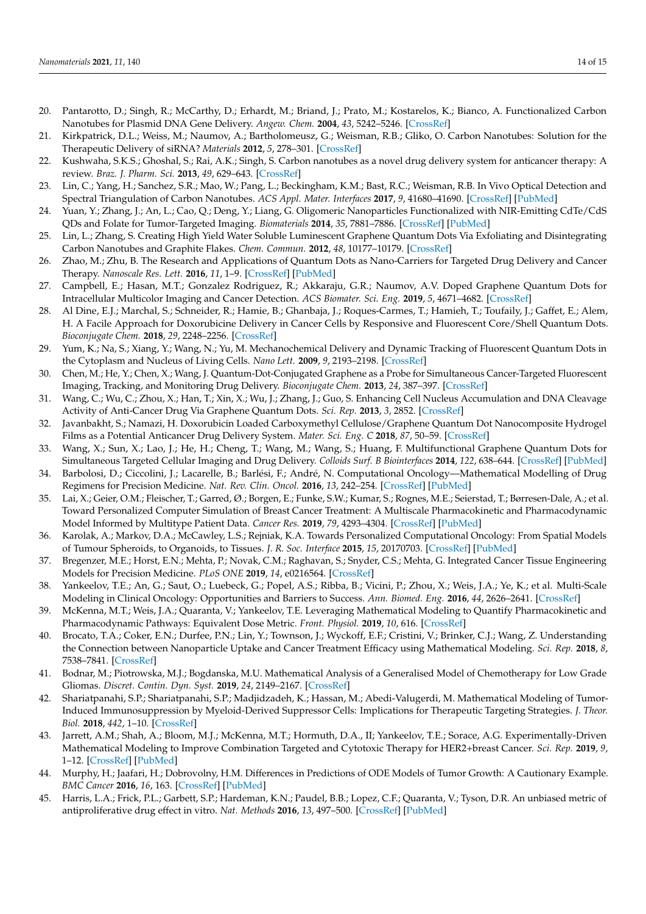- 20. Pantarotto, D.; Singh, R.; McCarthy, D.; Erhardt, M.; Briand, J.; Prato, M.; Kostarelos, K.; Bianco, A. Functionalized Carbon Nanotubes for Plasmid DNA Gene Delivery. *Angew. Chem.* **2004**, *43*, 5242–5246. [\[CrossRef\]](http://doi.org/10.1002/anie.200460437)
- <span id="page-13-0"></span>21. Kirkpatrick, D.L.; Weiss, M.; Naumov, A.; Bartholomeusz, G.; Weisman, R.B.; Gliko, O. Carbon Nanotubes: Solution for the Therapeutic Delivery of siRNA? *Materials* **2012**, *5*, 278–301. [\[CrossRef\]](http://doi.org/10.3390/ma5020278)
- <span id="page-13-1"></span>22. Kushwaha, S.K.S.; Ghoshal, S.; Rai, A.K.; Singh, S. Carbon nanotubes as a novel drug delivery system for anticancer therapy: A review. *Braz. J. Pharm. Sci.* **2013**, *49*, 629–643. [\[CrossRef\]](http://doi.org/10.1590/S1984-82502013000400002)
- <span id="page-13-2"></span>23. Lin, C.; Yang, H.; Sanchez, S.R.; Mao, W.; Pang, L.; Beckingham, K.M.; Bast, R.C.; Weisman, R.B. In Vivo Optical Detection and Spectral Triangulation of Carbon Nanotubes. *ACS Appl. Mater. Interfaces* **2017**, *9*, 41680–41690. [\[CrossRef\]](http://doi.org/10.1021/acsami.7b12916) [\[PubMed\]](http://www.ncbi.nlm.nih.gov/pubmed/29131572)
- <span id="page-13-3"></span>24. Yuan, Y.; Zhang, J.; An, L.; Cao, Q.; Deng, Y.; Liang, G. Oligomeric Nanoparticles Functionalized with NIR-Emitting CdTe/CdS QDs and Folate for Tumor-Targeted Imaging. *Biomaterials* **2014**, *35*, 7881–7886. [\[CrossRef\]](http://doi.org/10.1016/j.biomaterials.2014.05.071) [\[PubMed\]](http://www.ncbi.nlm.nih.gov/pubmed/24952975)
- <span id="page-13-4"></span>25. Lin, L.; Zhang, S. Creating High Yield Water Soluble Luminescent Graphene Quantum Dots Via Exfoliating and Disintegrating Carbon Nanotubes and Graphite Flakes. *Chem. Commun.* **2012**, *48*, 10177–10179. [\[CrossRef\]](http://doi.org/10.1039/c2cc35559k)
- <span id="page-13-5"></span>26. Zhao, M.; Zhu, B. The Research and Applications of Quantum Dots as Nano-Carriers for Targeted Drug Delivery and Cancer Therapy. *Nanoscale Res. Lett.* **2016**, *11*, 1–9. [\[CrossRef\]](http://doi.org/10.1186/s11671-016-1394-9) [\[PubMed\]](http://www.ncbi.nlm.nih.gov/pubmed/27090658)
- <span id="page-13-6"></span>27. Campbell, E.; Hasan, M.T.; Gonzalez Rodriguez, R.; Akkaraju, G.R.; Naumov, A.V. Doped Graphene Quantum Dots for Intracellular Multicolor Imaging and Cancer Detection. *ACS Biomater. Sci. Eng.* **2019**, *5*, 4671–4682. [\[CrossRef\]](http://doi.org/10.1021/acsbiomaterials.9b00603)
- <span id="page-13-7"></span>28. Al Dine, E.J.; Marchal, S.; Schneider, R.; Hamie, B.; Ghanbaja, J.; Roques-Carmes, T.; Hamieh, T.; Toufaily, J.; Gaffet, E.; Alem, H. A Facile Approach for Doxorubicine Delivery in Cancer Cells by Responsive and Fluorescent Core/Shell Quantum Dots. *Bioconjugate Chem.* **2018**, *29*, 2248–2256. [\[CrossRef\]](http://doi.org/10.1021/acs.bioconjchem.8b00253)
- 29. Yum, K.; Na, S.; Xiang, Y.; Wang, N.; Yu, M. Mechanochemical Delivery and Dynamic Tracking of Fluorescent Quantum Dots in the Cytoplasm and Nucleus of Living Cells. *Nano Lett.* **2009**, *9*, 2193–2198. [\[CrossRef\]](http://doi.org/10.1021/nl901047u)
- <span id="page-13-8"></span>30. Chen, M.; He, Y.; Chen, X.; Wang, J. Quantum-Dot-Conjugated Graphene as a Probe for Simultaneous Cancer-Targeted Fluorescent Imaging, Tracking, and Monitoring Drug Delivery. *Bioconjugate Chem.* **2013**, *24*, 387–397. [\[CrossRef\]](http://doi.org/10.1021/bc3004809)
- <span id="page-13-9"></span>31. Wang, C.; Wu, C.; Zhou, X.; Han, T.; Xin, X.; Wu, J.; Zhang, J.; Guo, S. Enhancing Cell Nucleus Accumulation and DNA Cleavage Activity of Anti-Cancer Drug Via Graphene Quantum Dots. *Sci. Rep.* **2013**, *3*, 2852. [\[CrossRef\]](http://doi.org/10.1038/srep02852)
- <span id="page-13-10"></span>32. Javanbakht, S.; Namazi, H. Doxorubicin Loaded Carboxymethyl Cellulose/Graphene Quantum Dot Nanocomposite Hydrogel Films as a Potential Anticancer Drug Delivery System. *Mater. Sci. Eng. C* **2018**, *87*, 50–59. [\[CrossRef\]](http://doi.org/10.1016/j.msec.2018.02.010)
- <span id="page-13-11"></span>33. Wang, X.; Sun, X.; Lao, J.; He, H.; Cheng, T.; Wang, M.; Wang, S.; Huang, F. Multifunctional Graphene Quantum Dots for Simultaneous Targeted Cellular Imaging and Drug Delivery. *Colloids Surf. B Biointerfaces* **2014**, *122*, 638–644. [\[CrossRef\]](http://doi.org/10.1016/j.colsurfb.2014.07.043) [\[PubMed\]](http://www.ncbi.nlm.nih.gov/pubmed/25129696)
- <span id="page-13-12"></span>34. Barbolosi, D.; Ciccolini, J.; Lacarelle, B.; Barlési, F.; André, N. Computational Oncology—Mathematical Modelling of Drug Regimens for Precision Medicine. *Nat. Rev. Clin. Oncol.* **2016**, *13*, 242–254. [\[CrossRef\]](http://doi.org/10.1038/nrclinonc.2015.204) [\[PubMed\]](http://www.ncbi.nlm.nih.gov/pubmed/26598946)
- 35. Lai, X.; Geier, O.M.; Fleischer, T.; Garred, Ø.; Borgen, E.; Funke, S.W.; Kumar, S.; Rognes, M.E.; Seierstad, T.; Børresen-Dale, A.; et al. Toward Personalized Computer Simulation of Breast Cancer Treatment: A Multiscale Pharmacokinetic and Pharmacodynamic Model Informed by Multitype Patient Data. *Cancer Res.* **2019**, *79*, 4293–4304. [\[CrossRef\]](http://doi.org/10.1158/0008-5472.CAN-18-1804) [\[PubMed\]](http://www.ncbi.nlm.nih.gov/pubmed/31118201)
- <span id="page-13-13"></span>36. Karolak, A.; Markov, D.A.; McCawley, L.S.; Rejniak, K.A. Towards Personalized Computational Oncology: From Spatial Models of Tumour Spheroids, to Organoids, to Tissues. *J. R. Soc. Interface* **2015**, *15*, 20170703. [\[CrossRef\]](http://doi.org/10.1098/rsif.2017.0703) [\[PubMed\]](http://www.ncbi.nlm.nih.gov/pubmed/29367239)
- <span id="page-13-14"></span>37. Bregenzer, M.E.; Horst, E.N.; Mehta, P.; Novak, C.M.; Raghavan, S.; Snyder, C.S.; Mehta, G. Integrated Cancer Tissue Engineering Models for Precision Medicine. *PLoS ONE* **2019**, *14*, e0216564. [\[CrossRef\]](http://doi.org/10.1371/journal.pone.0216564)
- <span id="page-13-15"></span>38. Yankeelov, T.E.; An, G.; Saut, O.; Luebeck, G.; Popel, A.S.; Ribba, B.; Vicini, P.; Zhou, X.; Weis, J.A.; Ye, K.; et al. Multi-Scale Modeling in Clinical Oncology: Opportunities and Barriers to Success. *Ann. Biomed. Eng.* **2016**, *44*, 2626–2641. [\[CrossRef\]](http://doi.org/10.1007/s10439-016-1691-6)
- <span id="page-13-16"></span>39. McKenna, M.T.; Weis, J.A.; Quaranta, V.; Yankeelov, T.E. Leveraging Mathematical Modeling to Quantify Pharmacokinetic and Pharmacodynamic Pathways: Equivalent Dose Metric. *Front. Physiol.* **2019**, *10*, 616. [\[CrossRef\]](http://doi.org/10.3389/fphys.2019.00616)
- <span id="page-13-17"></span>40. Brocato, T.A.; Coker, E.N.; Durfee, P.N.; Lin, Y.; Townson, J.; Wyckoff, E.F.; Cristini, V.; Brinker, C.J.; Wang, Z. Understanding the Connection between Nanoparticle Uptake and Cancer Treatment Efficacy using Mathematical Modeling. *Sci. Rep.* **2018**, *8*, 7538–7841. [\[CrossRef\]](http://doi.org/10.1038/s41598-018-25878-8)
- <span id="page-13-18"></span>41. Bodnar, M.; Piotrowska, M.J.; Bogdanska, M.U. Mathematical Analysis of a Generalised Model of Chemotherapy for Low Grade Gliomas. *Discret. Contin. Dyn. Syst.* **2019**, *24*, 2149–2167. [\[CrossRef\]](http://doi.org/10.3934/dcdsb.2019088)
- <span id="page-13-19"></span>42. Shariatpanahi, S.P.; Shariatpanahi, S.P.; Madjidzadeh, K.; Hassan, M.; Abedi-Valugerdi, M. Mathematical Modeling of Tumor-Induced Immunosuppression by Myeloid-Derived Suppressor Cells: Implications for Therapeutic Targeting Strategies. *J. Theor. Biol.* **2018**, *442*, 1–10. [\[CrossRef\]](http://doi.org/10.1016/j.jtbi.2018.01.006)
- <span id="page-13-20"></span>43. Jarrett, A.M.; Shah, A.; Bloom, M.J.; McKenna, M.T.; Hormuth, D.A., II; Yankeelov, T.E.; Sorace, A.G. Experimentally-Driven Mathematical Modeling to Improve Combination Targeted and Cytotoxic Therapy for HER2+breast Cancer. *Sci. Rep.* **2019**, *9*, 1–12. [\[CrossRef\]](http://doi.org/10.1038/s41598-019-49073-5) [\[PubMed\]](http://www.ncbi.nlm.nih.gov/pubmed/31492947)
- <span id="page-13-21"></span>44. Murphy, H.; Jaafari, H.; Dobrovolny, H.M. Differences in Predictions of ODE Models of Tumor Growth: A Cautionary Example. *BMC Cancer* **2016**, *16*, 163. [\[CrossRef\]](http://doi.org/10.1186/s12885-016-2164-x) [\[PubMed\]](http://www.ncbi.nlm.nih.gov/pubmed/26921070)
- <span id="page-13-22"></span>45. Harris, L.A.; Frick, P.L.; Garbett, S.P.; Hardeman, K.N.; Paudel, B.B.; Lopez, C.F.; Quaranta, V.; Tyson, D.R. An unbiased metric of antiproliferative drug effect in vitro. *Nat. Methods* **2016**, *13*, 497–500. [\[CrossRef\]](http://doi.org/10.1038/nmeth.3852) [\[PubMed\]](http://www.ncbi.nlm.nih.gov/pubmed/27135974)